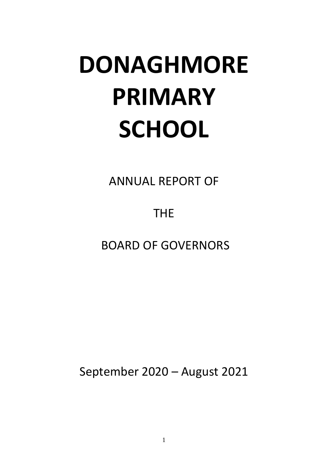# **DONAGHMORE PRIMARY SCHOOL**

ANNUAL REPORT OF

THE

BOARD OF GOVERNORS

September 2020 – August 2021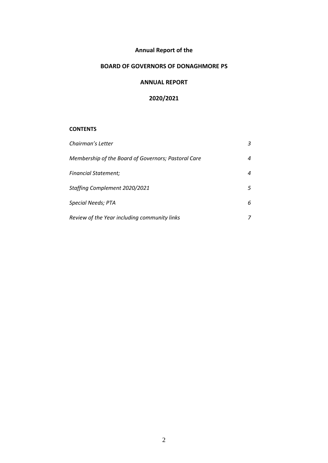# **Annual Report of the**

# **BOARD OF GOVERNORS OF DONAGHMORE PS**

#### **ANNUAL REPORT**

## **2020/2021**

#### **CONTENTS**

| Chairman's Letter                                   |   |
|-----------------------------------------------------|---|
| Membership of the Board of Governors; Pastoral Care | 4 |
| <b>Financial Statement;</b>                         | 4 |
| Staffing Complement 2020/2021                       | 5 |
| Special Needs; PTA                                  | 6 |
| Review of the Year including community links        |   |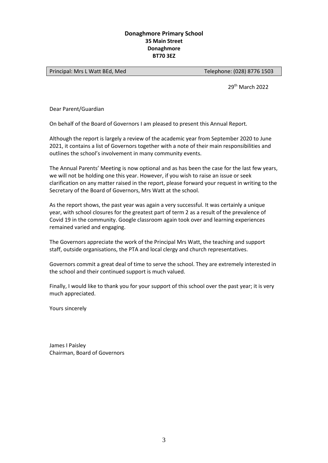#### **Donaghmore Primary School 35 Main Street Donaghmore BT70 3EZ**

Principal: Mrs L Watt BEd, Med
Telephone: (028) 8776 1503

29th March 2022

Dear Parent/Guardian

On behalf of the Board of Governors I am pleased to present this Annual Report.

Although the report is largely a review of the academic year from September 2020 to June 2021, it contains a list of Governors together with a note of their main responsibilities and outlines the school's involvement in many community events.

The Annual Parents' Meeting is now optional and as has been the case for the last few years, we will not be holding one this year. However, if you wish to raise an issue or seek clarification on any matter raised in the report, please forward your request in writing to the Secretary of the Board of Governors, Mrs Watt at the school.

As the report shows, the past year was again a very successful. It was certainly a unique year, with school closures for the greatest part of term 2 as a result of the prevalence of Covid 19 in the community. Google classroom again took over and learning experiences remained varied and engaging.

The Governors appreciate the work of the Principal Mrs Watt, the teaching and support staff, outside organisations, the PTA and local clergy and church representatives.

Governors commit a great deal of time to serve the school. They are extremely interested in the school and their continued support is much valued.

Finally, I would like to thank you for your support of this school over the past year; it is very much appreciated.

Yours sincerely

James I Paisley Chairman, Board of Governors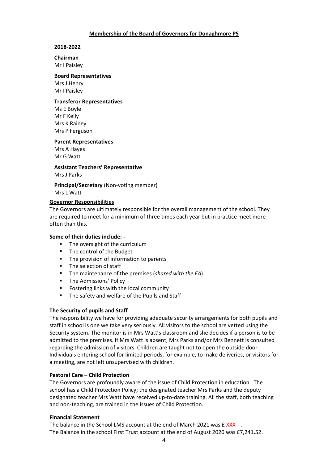#### **Membership of the Board of Governors for Donaghmore PS**

#### **2018-2022**

**Chairman**  Mr I Paisley

#### **Board Representatives**

Mrs J Henry Mr I Paisley

#### **Transferor Representatives**

Ms E Boyle Mr F Kelly Mrs K Rainey Mrs P Ferguson

**Parent Representatives**

Mrs A Hayes Mr G Watt

**Assistant Teachers' Representative** Mrs J Parks

**Principal/Secretary** (Non-voting member) Mrs L Watt

#### **Governor Responsibilities**

The Governors are ultimately responsible for the overall management of the school. They are required to meet for a minimum of three times each year but in practice meet more often than this.

#### **Some of their duties include: -**

- The oversight of the curriculum
- The control of the Budget
- **The provision of information to parents**
- **The selection of staff**
- The maintenance of the premises (*shared with the EA*)
- **F** The Admissions' Policy
- **F** Fostering links with the local community
- The safety and welfare of the Pupils and Staff

#### **The Security of pupils and Staff**

The responsibility we have for providing adequate security arrangements for both pupils and staff in school is one we take very seriously. All visitors to the school are vetted using the Security system. The monitor is in Mrs Watt's classroom and she decides if a person is to be admitted to the premises. If Mrs Watt is absent, Mrs Parks and/or Mrs Bennett is consulted regarding the admission of visitors. Children are taught not to open the outside door. Individuals entering school for limited periods, for example, to make deliveries, or visitors for a meeting, are not left unsupervised with children.

#### **Pastoral Care – Child Protection**

The Governors are profoundly aware of the issue of Child Protection in education. The school has a Child Protection Policy; the designated teacher Mrs Parks and the deputy designated teacher Mrs Watt have received up-to-date training. All the staff, both teaching and non-teaching, are trained in the issues of Child Protection.

#### **Financial Statement**

The balance in the School LMS account at the end of March 2021 was £ XXX . The Balance in the school First Trust account at the end of August 2020 was £7,241.52.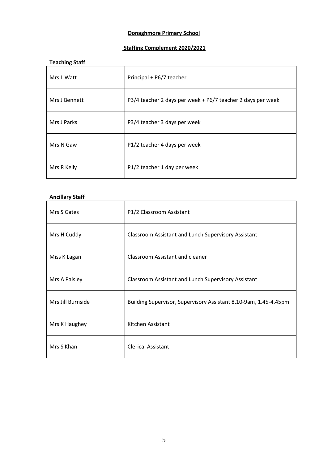# **Donaghmore Primary School**

# **Staffing Complement 2020/2021**

#### **Teaching Staff**

| Mrs L Watt    | Principal + P6/7 teacher                                    |
|---------------|-------------------------------------------------------------|
| Mrs J Bennett | P3/4 teacher 2 days per week + P6/7 teacher 2 days per week |
| Mrs J Parks   | P3/4 teacher 3 days per week                                |
| Mrs N Gaw     | P1/2 teacher 4 days per week                                |
| Mrs R Kelly   | P1/2 teacher 1 day per week                                 |

## **Ancillary Staff**

| Mrs S Gates       | P1/2 Classroom Assistant                                         |
|-------------------|------------------------------------------------------------------|
| Mrs H Cuddy       | <b>Classroom Assistant and Lunch Supervisory Assistant</b>       |
| Miss K Lagan      | Classroom Assistant and cleaner                                  |
| Mrs A Paisley     | <b>Classroom Assistant and Lunch Supervisory Assistant</b>       |
| Mrs Jill Burnside | Building Supervisor, Supervisory Assistant 8.10-9am, 1.45-4.45pm |
| Mrs K Haughey     | Kitchen Assistant                                                |
| Mrs S Khan        | <b>Clerical Assistant</b>                                        |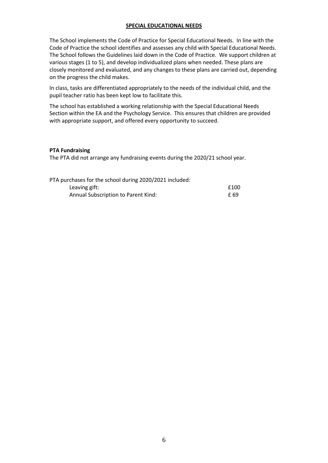#### **SPECIAL EDUCATIONAL NEEDS**

The School implements the Code of Practice for Special Educational Needs. In line with the Code of Practice the school identifies and assesses any child with Special Educational Needs. The School follows the Guidelines laid down in the Code of Practice. We support children at various stages (1 to 5), and develop individualized plans when needed. These plans are closely monitored and evaluated, and any changes to these plans are carried out, depending on the progress the child makes.

In class, tasks are differentiated appropriately to the needs of the individual child, and the pupil teacher ratio has been kept low to facilitate this.

The school has established a working relationship with the Special Educational Needs Section within the EA and the Psychology Service. This ensures that children are provided with appropriate support, and offered every opportunity to succeed.

#### **PTA Fundraising**

The PTA did not arrange any fundraising events during the 2020/21 school year.

| PTA purchases for the school during 2020/2021 included: |      |
|---------------------------------------------------------|------|
| Leaving gift:                                           | £100 |
| Annual Subscription to Parent Kind:                     | £ 69 |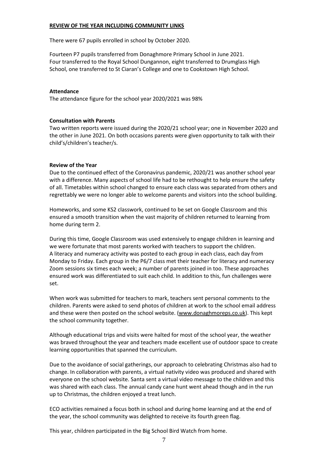#### **REVIEW OF THE YEAR INCLUDING COMMUNITY LINKS**

There were 67 pupils enrolled in school by October 2020.

Fourteen P7 pupils transferred from Donaghmore Primary School in June 2021. Four transferred to the Royal School Dungannon, eight transferred to Drumglass High School, one transferred to St Ciaran's College and one to Cookstown High School.

#### **Attendance**

The attendance figure for the school year 2020/2021 was 98%

#### **Consultation with Parents**

Two written reports were issued during the 2020/21 school year; one in November 2020 and the other in June 2021. On both occasions parents were given opportunity to talk with their child's/children's teacher/s.

#### **Review of the Year**

Due to the continued effect of the Coronavirus pandemic, 2020/21 was another school year with a difference. Many aspects of school life had to be rethought to help ensure the safety of all. Timetables within school changed to ensure each class was separated from others and regrettably we were no longer able to welcome parents and visitors into the school building.

Homeworks, and some KS2 classwork, continued to be set on Google Classroom and this ensured a smooth transition when the vast majority of children returned to learning from home during term 2.

During this time, Google Classroom was used extensively to engage children in learning and we were fortunate that most parents worked with teachers to support the children. A literacy and numeracy activity was posted to each group in each class, each day from Monday to Friday. Each group in the P6/7 class met their teacher for literacy and numeracy Zoom sessions six times each week; a number of parents joined in too. These approaches ensured work was differentiated to suit each child. In addition to this, fun challenges were set.

When work was submitted for teachers to mark, teachers sent personal comments to the children. Parents were asked to send photos of children at work to the school email address and these were then posted on the school website. [\(www.donaghmoreps.co.uk\)](http://www.donaghmoreps.co.uk/). This kept the school community together.

Although educational trips and visits were halted for most of the school year, the weather was braved throughout the year and teachers made excellent use of outdoor space to create learning opportunities that spanned the curriculum.

Due to the avoidance of social gatherings, our approach to celebrating Christmas also had to change. In collaboration with parents, a virtual nativity video was produced and shared with everyone on the school website. Santa sent a virtual video message to the children and this was shared with each class. The annual candy cane hunt went ahead though and in the run up to Christmas, the children enjoyed a treat lunch.

ECO activities remained a focus both in school and during home learning and at the end of the year, the school community was delighted to receive its fourth green flag.

This year, children participated in the Big School Bird Watch from home.